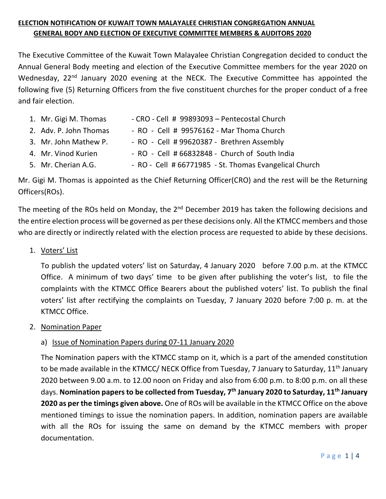# **ELECTION NOTIFICATION OF KUWAIT TOWN MALAYALEE CHRISTIAN CONGREGATION ANNUAL GENERAL BODY AND ELECTION OF EXECUTIVE COMMITTEE MEMBERS & AUDITORS 2020**

The Executive Committee of the Kuwait Town Malayalee Christian Congregation decided to conduct the Annual General Body meeting and election of the Executive Committee members for the year 2020 on Wednesday, 22<sup>nd</sup> January 2020 evening at the NECK. The Executive Committee has appointed the following five (5) Returning Officers from the five constituent churches for the proper conduct of a free and fair election.

| 1. Mr. Gigi M. Thomas  | - CRO - Cell # 99893093 - Pentecostal Church   |
|------------------------|------------------------------------------------|
| 2. Adv. P. John Thomas | - RO - Cell # 99576162 - Mar Thoma Church      |
| 3. Mr. John Mathew P.  | - RO - Cell # 99620387 - Brethren Assembly     |
| 4. Mr. Vinod Kurien    | - RO - Cell # 66832848 - Church of South India |

5. Mr. Cherian A.G. - The RO - Cell # 66771985 - St. Thomas Evangelical Church

Mr. Gigi M. Thomas is appointed as the Chief Returning Officer(CRO) and the rest will be the Returning Officers(ROs).

The meeting of the ROs held on Monday, the 2<sup>nd</sup> December 2019 has taken the following decisions and the entire election process will be governed as per these decisions only. All the KTMCC members and those who are directly or indirectly related with the election process are requested to abide by these decisions.

1. Voters' List

To publish the updated voters' list on Saturday, 4 January 2020 before 7.00 p.m. at the KTMCC Office. A minimum of two days' time to be given after publishing the voter's list, to file the complaints with the KTMCC Office Bearers about the published voters' list. To publish the final voters' list after rectifying the complaints on Tuesday, 7 January 2020 before 7:00 p. m. at the KTMCC Office.

2. Nomination Paper

## a) Issue of Nomination Papers during 07-11 January 2020

The Nomination papers with the KTMCC stamp on it, which is a part of the amended constitution to be made available in the KTMCC/ NECK Office from Tuesday, 7 January to Saturday, 11<sup>th</sup> January 2020 between 9.00 a.m. to 12.00 noon on Friday and also from 6:00 p.m. to 8:00 p.m. on all these days. **Nomination papers to be collected from Tuesday, 7 th January 2020 to Saturday, 11 th January 2020 as per the timings given above.** One of ROs will be available in the KTMCC Office on the above mentioned timings to issue the nomination papers. In addition, nomination papers are available with all the ROs for issuing the same on demand by the KTMCC members with proper documentation.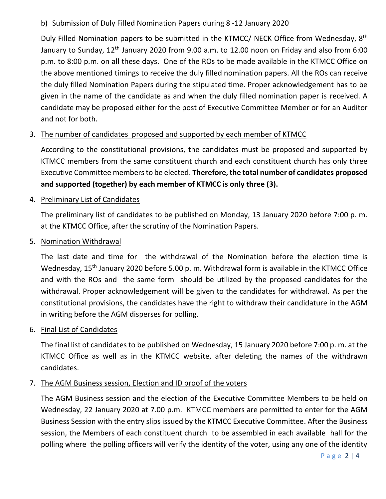## b) Submission of Duly Filled Nomination Papers during 8 -12 January 2020

Duly Filled Nomination papers to be submitted in the KTMCC/ NECK Office from Wednesday, 8<sup>th</sup> January to Sunday, 12<sup>th</sup> January 2020 from 9.00 a.m. to 12.00 noon on Friday and also from 6:00 p.m. to 8:00 p.m. on all these days. One of the ROs to be made available in the KTMCC Office on the above mentioned timings to receive the duly filled nomination papers. All the ROs can receive the duly filled Nomination Papers during the stipulated time. Proper acknowledgement has to be given in the name of the candidate as and when the duly filled nomination paper is received. A candidate may be proposed either for the post of Executive Committee Member or for an Auditor and not for both.

# 3. The number of candidates proposed and supported by each member of KTMCC

According to the constitutional provisions, the candidates must be proposed and supported by KTMCC members from the same constituent church and each constituent church has only three Executive Committee members to be elected. **Therefore, the total number of candidates proposed and supported (together) by each member of KTMCC is only three (3).** 

## 4. Preliminary List of Candidates

The preliminary list of candidates to be published on Monday, 13 January 2020 before 7:00 p. m. at the KTMCC Office, after the scrutiny of the Nomination Papers.

#### 5. Nomination Withdrawal

The last date and time for the withdrawal of the Nomination before the election time is Wednesday, 15<sup>th</sup> January 2020 before 5.00 p. m. Withdrawal form is available in the KTMCC Office and with the ROs and the same form should be utilized by the proposed candidates for the withdrawal. Proper acknowledgement will be given to the candidates for withdrawal. As per the constitutional provisions, the candidates have the right to withdraw their candidature in the AGM in writing before the AGM disperses for polling.

#### 6. Final List of Candidates

The final list of candidates to be published on Wednesday, 15 January 2020 before 7:00 p. m. at the KTMCC Office as well as in the KTMCC website, after deleting the names of the withdrawn candidates.

## 7. The AGM Business session, Election and ID proof of the voters

The AGM Business session and the election of the Executive Committee Members to be held on Wednesday, 22 January 2020 at 7.00 p.m. KTMCC members are permitted to enter for the AGM Business Session with the entry slips issued by the KTMCC Executive Committee. After the Business session, the Members of each constituent church to be assembled in each available hall for the polling where the polling officers will verify the identity of the voter, using any one of the identity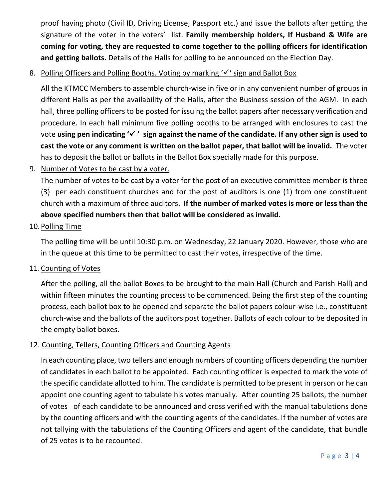proof having photo (Civil ID, Driving License, Passport etc.) and issue the ballots after getting the signature of the voter in the voters' list. **Family membership holders, If Husband & Wife are coming for voting, they are requested to come together to the polling officers for identification and getting ballots.** Details of the Halls for polling to be announced on the Election Day.

# 8. Polling Officers and Polling Booths. Voting by marking 'v' sign and Ballot Box

All the KTMCC Members to assemble church-wise in five or in any convenient number of groups in different Halls as per the availability of the Halls, after the Business session of the AGM. In each hall, three polling officers to be posted for issuing the ballot papers after necessary verification and procedure. In each hall minimum five polling booths to be arranged with enclosures to cast the vote **using pen indicating ' ' sign against the name of the candidate. If any other sign is used to cast the vote or any comment is written on the ballot paper, that ballot will be invalid.** The voter has to deposit the ballot or ballots in the Ballot Box specially made for this purpose.

9. Number of Votes to be cast by a voter.

The number of votes to be cast by a voter for the post of an executive committee member is three (3) per each constituent churches and for the post of auditors is one (1) from one constituent church with a maximum of three auditors. **If the number of marked votes is more or less than the above specified numbers then that ballot will be considered as invalid.**

#### 10. Polling Time

The polling time will be until 10:30 p.m. on Wednesday, 22 January 2020. However, those who are in the queue at this time to be permitted to cast their votes, irrespective of the time.

11.Counting of Votes

After the polling, all the ballot Boxes to be brought to the main Hall (Church and Parish Hall) and within fifteen minutes the counting process to be commenced. Being the first step of the counting process, each ballot box to be opened and separate the ballot papers colour-wise i.e., constituent church-wise and the ballots of the auditors post together. Ballots of each colour to be deposited in the empty ballot boxes.

## 12. Counting, Tellers, Counting Officers and Counting Agents

In each counting place, two tellers and enough numbers of counting officers depending the number of candidates in each ballot to be appointed. Each counting officer is expected to mark the vote of the specific candidate allotted to him. The candidate is permitted to be present in person or he can appoint one counting agent to tabulate his votes manually. After counting 25 ballots, the number of votes of each candidate to be announced and cross verified with the manual tabulations done by the counting officers and with the counting agents of the candidates. If the number of votes are not tallying with the tabulations of the Counting Officers and agent of the candidate, that bundle of 25 votes is to be recounted.